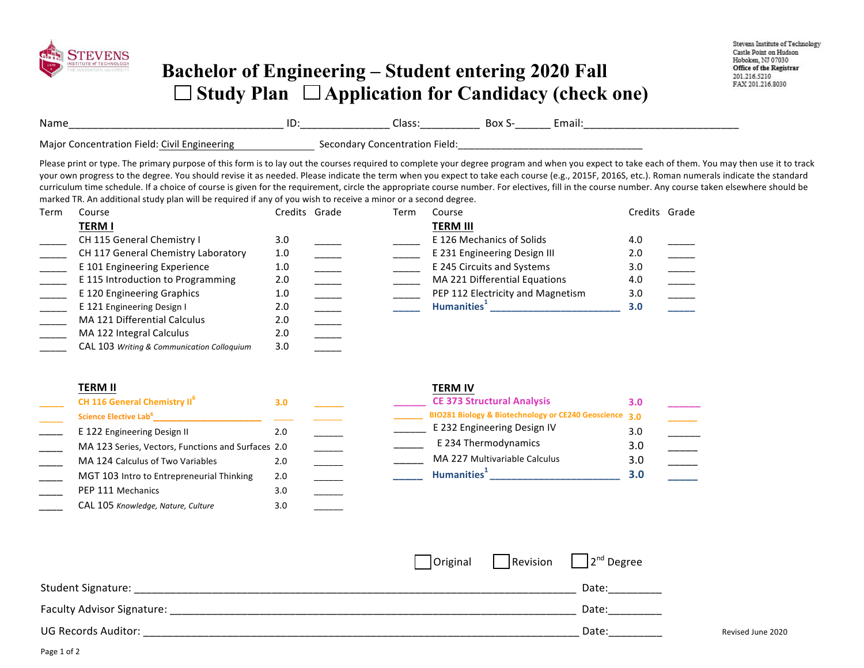

## **Bachelor of Engineering – Student entering 2020 Fall**  □ Study Plan □ Application for Candidacy (check one)

| Name                                              | שו | Class:<br>_______<br>____               | ,,,<br>. גיש<br>_______ | Email<br>___ |
|---------------------------------------------------|----|-----------------------------------------|-------------------------|--------------|
| Maior '<br>Concentration Field: Civil Engineering |    | Field:<br>Concentration !<br>secondar : |                         |              |

Please print or type. The primary purpose of this form is to lay out the courses required to complete your degree program and when you expect to take each of them. You may then use it to track your own progress to the degree. You should revise it as needed. Please indicate the term when you expect to take each course (e.g., 2015F, 2016S, etc.). Roman numerals indicate the standard curriculum time schedule. If a choice of course is given for the requirement, circle the appropriate course number. For electives, fill in the course number. Any course taken elsewhere should be marked TR. An additional study plan will be required if any of you wish to receive a minor or a second degree.

| Term | Course                                     | Credits Grade | Term | Course                            |     | Credits Grade |
|------|--------------------------------------------|---------------|------|-----------------------------------|-----|---------------|
|      | <b>TERM I</b>                              |               |      | <b>TERM III</b>                   |     |               |
|      | CH 115 General Chemistry I                 | 3.0           |      | E 126 Mechanics of Solids         | 4.0 |               |
|      | CH 117 General Chemistry Laboratory        | 1.0           |      | E 231 Engineering Design III      | 2.0 |               |
|      | E 101 Engineering Experience               | 1.0           |      | E 245 Circuits and Systems        | 3.0 |               |
|      | E 115 Introduction to Programming          | 2.0           |      | MA 221 Differential Equations     | 4.0 |               |
|      | E 120 Engineering Graphics                 | 1.0           |      | PEP 112 Electricity and Magnetism | 3.0 |               |
|      | E 121 Engineering Design I                 | 2.0           |      | Humanities <sup>+</sup>           | 3.0 |               |
|      | MA 121 Differential Calculus               | 2.0           |      |                                   |     |               |
|      | MA 122 Integral Calculus                   | 2.0           |      |                                   |     |               |
|      | CAL 103 Writing & Communication Colloguium | 3.0           |      |                                   |     |               |

| <b>TERM II</b>                                     |     | <b>TERM IV</b>                                         |     |
|----------------------------------------------------|-----|--------------------------------------------------------|-----|
| CH 116 General Chemistry II <sup>6</sup>           | 3.0 | <b>CE 373 Structural Analysis</b>                      | 3.0 |
| Science Elective Lab <sup>6</sup>                  |     | BIO281 Biology & Biotechnology or CE240 Geoscience 3.0 |     |
| E 122 Engineering Design II                        | 2.0 | E 232 Engineering Design IV                            | 3.0 |
| MA 123 Series, Vectors, Functions and Surfaces 2.0 |     | E 234 Thermodynamics                                   | 3.0 |
| MA 124 Calculus of Two Variables                   | 2.0 | MA 227 Multivariable Calculus                          | 3.0 |
| MGT 103 Intro to Entrepreneurial Thinking          | 2.0 | Humanities <sup>1</sup>                                | 3.0 |
| PEP 111 Mechanics                                  | 3.0 |                                                        |     |

|                            |  | $\vert$ Original $\vert$ Revision $\vert$ $\vert$ 2 <sup>nd</sup> Degree |                   |
|----------------------------|--|--------------------------------------------------------------------------|-------------------|
| <b>Student Signature:</b>  |  | Date:                                                                    |                   |
| Faculty Advisor Signature: |  | Date:                                                                    |                   |
| <b>UG Records Auditor:</b> |  | Date:                                                                    | Revised June 2020 |

\_\_\_\_ CAL 105 *Knowledge, Nature, Culture* 3.0 \_\_\_\_\_\_